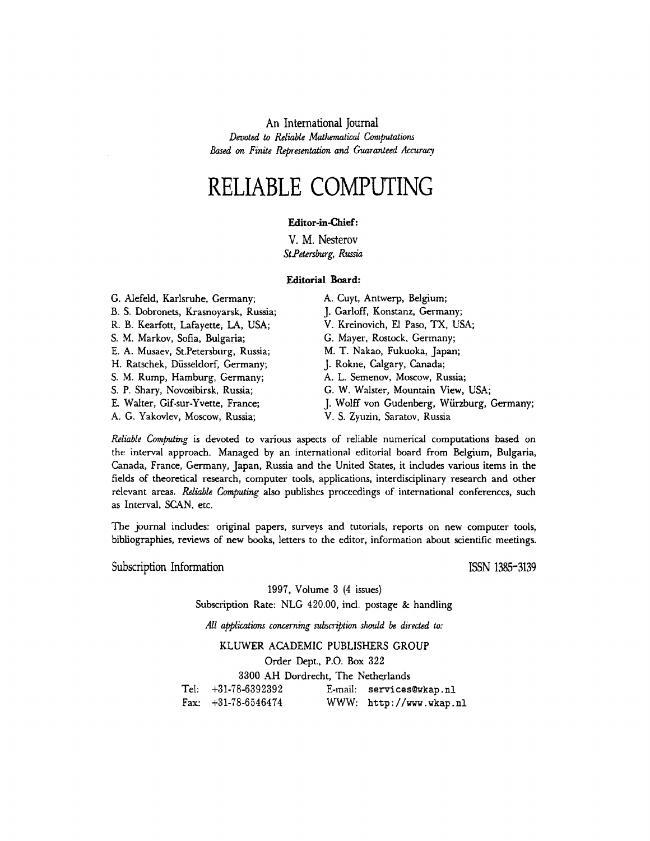**An International Journal**  *Devoted to Reliable Mathematical Computations Based on Finite Representation and Guaranteed Accuracy* 

## **RELIABLE COMPUTING**

### **Editor-in-Chief:**

**V. M. Nesterov**  *St.Petersburg, Russia* 

#### **Editorial Board:**

| G. Alefeld, Karlsruhe, Germany;       | A. Cuyt, Antwerp, Belgium;                 |
|---------------------------------------|--------------------------------------------|
| B. S. Dobronets, Krasnoyarsk, Russia; | J. Garloff, Konstanz, Germany;             |
| R. B. Kearfott, Lafayette, LA, USA;   | V. Kreinovich, El Paso, TX, USA;           |
| S. M. Markov, Sofia, Bulgaria;        | G. Mayer, Rostock, Germany;                |
| E. A. Musaev, St.Petersburg, Russia;  | M. T. Nakao, Fukuoka, Japan;               |
| H. Ratschek, Düsseldorf, Germany;     | J. Rokne, Calgary, Canada;                 |
| S. M. Rump, Hamburg, Germany;         | A. L. Semenov, Moscow, Russia;             |
| S. P. Shary, Novosibirsk, Russia;     | G. W. Walster, Mountain View, USA;         |
| E. Walter, Gif-sur-Yvette, France;    | J. Wolff von Gudenberg, Würzburg, Germany; |
| A. G. Yakovlev, Moscow, Russia;       | V. S. Zyuzin, Saratov, Russia              |

*Reliable Computing* is devoted to various aspects of reliable numerical computations based on the interval approach. Managed by an international editorial board from Belgium, Bulgaria, Canada, France, Germany, Japan, Russia and the United States, it includes various items in the fields of theoretical research, computer tools, applications, interdisciplinary research and other relevant areas. *Reliable Computing* also publishes proceedings of international conferences, such as Interval, SCAN, etc.

The journal includes: original papers, surveys and tutorials, reports on new computer tools, bibliographies, reviews of new books, letters to the editor, information about scientific meetings.

**Subscription Information** 

**ISSN 1385-3139** 

1997, Volume 3 (4 issues)

Subscription Rate: NLG 420.00, incl. postage & handling

*All applications concerning subscription shauld be directed to:* 

#### KLUWER ACADEMIC PUBLISHERS GROUP

Order Dept., P.O. Box 322

Tel: Fax:  $+31-78-6546474$ 3300 AH Dordrecht, The Netherlands  $+31-78-6392392$  E-mail: services@wkap.nl WWW: http://www.wkap.nl